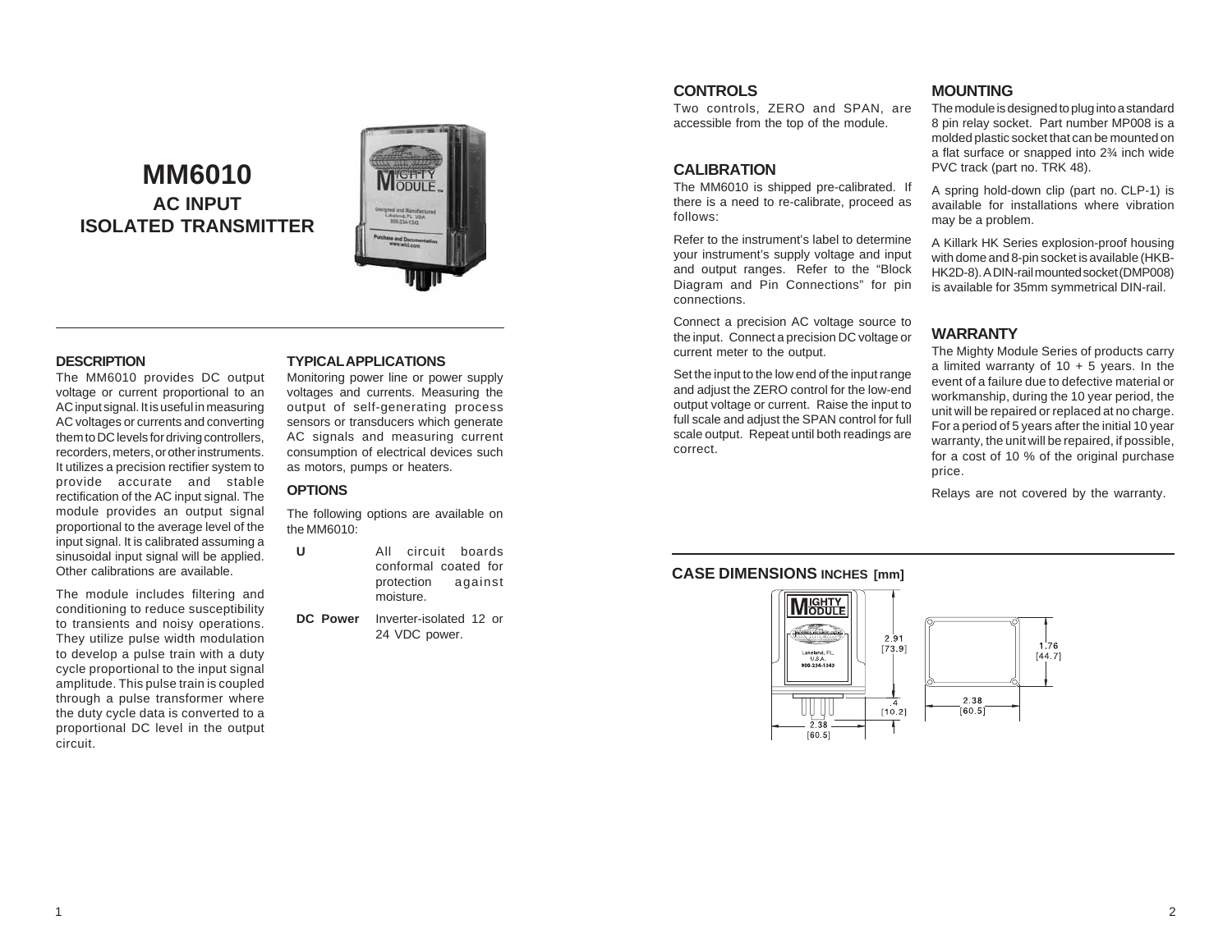# **MM6010 AC INPUT ISOLATED TRANSMITTER**



## **DESCRIPTION**

The MM6010 provides DC output voltage or current proportional to an AC input signal. It is useful in measuring AC voltages or currents and converting them to DC levels for driving controllers, recorders, meters, or other instruments. It utilizes a precision rectifier system to provide accurate and stable rectification of the AC input signal. The module provides an output signal proportional to the average level of the input signal. It is calibrated assuming a sinusoidal input signal will be applied. Other calibrations are available.

The module includes filtering and conditioning to reduce susceptibility to transients and noisy operations. They utilize pulse width modulation to develop a pulse train with a duty cycle proportional to the input signal amplitude. This pulse train is coupled through a pulse transformer where the duty cycle data is converted to a proportional DC level in the output circuit.

#### **TYPICAL APPLICATIONS**

Monitoring power line or power supply voltages and currents. Measuring the output of self-generating process sensors or transducers which generate AC signals and measuring current consumption of electrical devices such as motors, pumps or heaters.

# **OPTIONS**

The following options are available on the MM6010:

**U** All circuit boards conformal coated for protection against moisture.

**DC Power** Inverter-isolated 12 or 24 VDC power.

## **CONTROLS**

Two controls, ZERO and SPAN, are accessible from the top of the module.

#### **CALIBRATION**

The MM6010 is shipped pre-calibrated. If there is a need to re-calibrate, proceed as follows:

Refer to the instrument's label to determine your instrument's supply voltage and input and output ranges. Refer to the "Block Diagram and Pin Connections" for pin connections.

Connect a precision AC voltage source to the input. Connect a precision DC voltage or current meter to the output.

Set the input to the low end of the input range and adjust the ZERO control for the low-end output voltage or current. Raise the input to full scale and adjust the SPAN control for full scale output. Repeat until both readings are correct.

# **MOUNTING**

The module is designed to plug into a standard 8 pin relay socket. Part number MP008 is a molded plastic socket that can be mounted on a flat surface or snapped into 2¾ inch wide PVC track (part no. TRK 48).

A spring hold-down clip (part no. CLP-1) is available for installations where vibration may be a problem.

A Killark HK Series explosion-proof housing with dome and 8-pin socket is available (HKB-HK2D-8). A DIN-rail mounted socket (DMP008) is available for 35mm symmetrical DIN-rail.

# **WARRANTY**

The Mighty Module Series of products carry a limited warranty of  $10 + 5$  years. In the event of a failure due to defective material or workmanship, during the 10 year period, the unit will be repaired or replaced at no charge. For a period of 5 years after the initial 10 year warranty, the unit will be repaired, if possible, for a cost of 10 % of the original purchase price.

Relays are not covered by the warranty.

# **CASE DIMENSIONS INCHES [mm]**